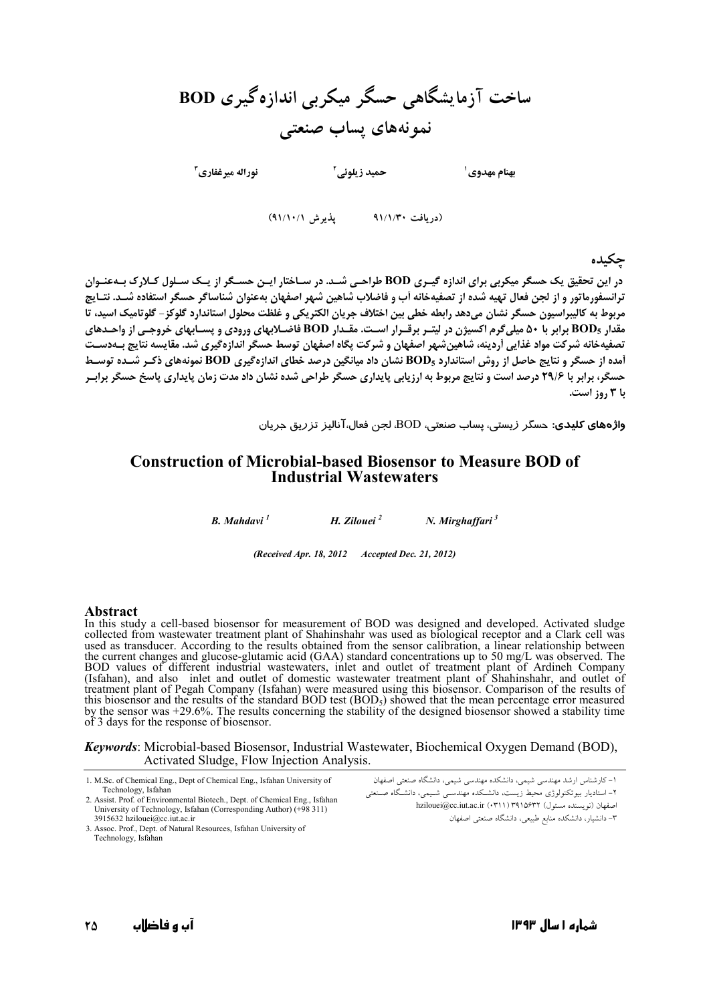ساخت آزمایشگاهی حسگر میکربی اندازهگیری BOD نمونههای پساب صنعتی

**نوراله مه غفاری آ** 

بهنام مهدوي ٰ

(دریافت ۹۱/۱/۳۰ = پذیرش ۹۱/۱۰/۱)

حمید زیلوئے آ

حكىدە

در این تحقیق یک حسگر میکربی برای اندازه گیـری BOD طراحـی شـد. در سـاختار ایـن حسـگر از یـک سـلول کـلارک بـهعنـوان .<br>ترانسفورماتور و از لحن فعال تهیه شده از تصفیهخانه آب و فاضلاب شاهین شهر اصفهان بهعنوان شناساگر حسگر استفاده شــد. نتــایج مربوط به كاليبراسيون حسگر نشان مىدهد رابطه خطى بين اختلاف جريان الكتريكى و غلظت محلول استاندارد گلوكز – گلوتاميك اسيد، تا .<br>مقدار BOD5 برابر با ۵۰ میلی گرم اکسیژن در لیتـر برقـرار اسـت. مقـدار BOD فاضـلابهای ورودی و پســابهای خروجـی از واحـدهای تصفیهخانه شرکت مواد غذایی آردینه، شاهین شهر اصفهان و شرکت یگاه اصفهان توسط حسگر اندازهگیری شد. مقایسه نتایج بــهدســت آمده از حسگر و نتایج حاصل از روش استاندارد BOD<sub>5</sub> نشان داد میانگین درصد خطای اندازهگیری BOD نمونههای ذکـر شــده توسـط حسگر، برابر با ۲۹/۶ درصد است و نتایج مربوط به ارزیابی پایداری حسگر طراحی شده نشان داد مدت زمان پایداری پاسخ حسگر براب با 3 روز است.

وا**ژههای کلیدی**: حسگر زیستی، پساب صنعتی، BOD، لجن فعال،آنالیز تزریق جریان

#### **Construction of Microbial-based Biosensor to Measure BOD of Industrial Wastewaters**

**B.** Mahdavi<sup>1</sup> H. Zilouei<sup>2</sup>  $N.$  Mirghaffari $3$ 

(Received Apr. 18, 2012 Accepted Dec. 21, 2012)

#### **Abstract**

In this study a cell-based biosensor for measurement of BOD was designed and developed. Activated sludge collected from wastewater treatment plant of Shahinshahr was used as biological receptor and a Clark cell was<br>used as transducer. According to the results obtained from the sensor calibration, a linear relationship between used as transducer. According to the results obtained from the sensor cantoration, a finear relationship between<br>the current changes and glucose-glutamic acid (GAA) standard concentrations up to 50 mg/L was observed. The<br>B by the sensor was  $+29.6\%$ . The results concerning the stability of the designed biosensor showed a stability time of 3 days for the response of biosensor.

**Keywords:** Microbial-based Biosensor, Industrial Wastewater, Biochemical Oxygen Demand (BOD), Activated Sludge, Flow Injection Analysis.

1. M.Sc. of Chemical Eng., Dept of Chemical Eng., Isfahan University of Technology, Isfahan 2. Assist. Prof. of Environmental Biotech., Dept. of Chemical Eng., Isfahan University of Technology, Isfahan (Corresponding Author) (+98 311)

3915632 hzilouei@cc.iut.ac.ir 3. Assoc. Prof., Dept. of Natural Resources, Isfahan University of Technology, Isfahan

۱- کارشناس ارشد مهندسی شیمی، دانشکده مهندسی شیمی، دانشگاه صنعتی اصفهان ۲- استادبار ایبو تکنولوژی محیط زیست، دانشیکده مهندستی شیمی، دانشیگاه صنعتی اصفهان (نویسنده مسئول) hzilouei@cc.iut.ac.ir (۰۳۱۱) ۳۹۱۵۶۳۲ ۳– دانشیار، دانشکده منابع طبیعی، دانشگاه صنعتی اصفهان

شماره ۱ سال ۱۳۹۳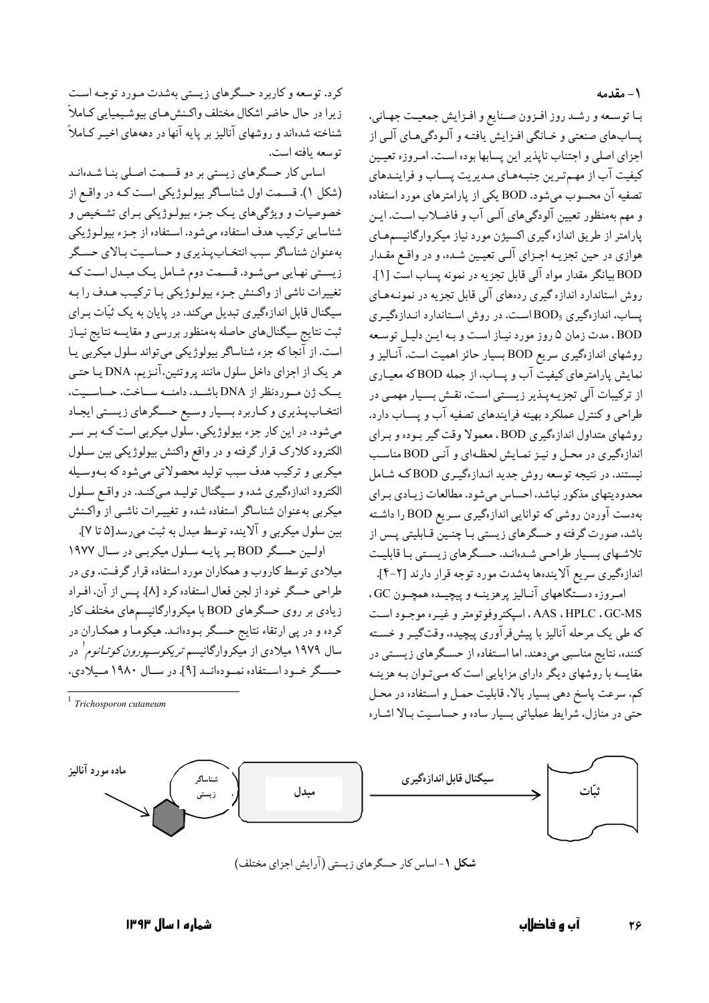#### ١- مقدمه

با توسعه و رشد روز افزون صنايع و افزايش جمعيت جهاني، پسابهاي صنعتي و خـانگي افـزايش يافتـه و آلـودگيهـاي آلـي از .<br>اجزای اصلی و اجتناب نایذیر این پسابها بوده است. امیروزه تعییین کیفیت آب از مهمترین جنبههای مدیریت پساب و فراینـدهای تصفیه آن محسوب می شود. BOD یکی از پارامترهای مورد استفاده و مهم بهمنظور تعیین آلودگی های آلبی آب و فاضلاب است. ایـن یارامتر از طریق اندازه گیری اکسیژن مورد نیاز میکروارگانیسمهـای هوازي در حين تجزيـه اجـزاي آلـي تعيـين شـده، و در واقـع مقـدار .<br>BOD بیانگر مقدار مواد آلی قابل تجزیه در نمونه پساب است [۱]. روش استاندارد اندازه گیری ردههای آلی قابل تجزیه در نمونـههـای یساب، اندازهگیری BOD<sub>5</sub>است. در روش استاندارد انـدازهگیـری BOD، مدت زمان ۵ روز مورد نیاز است و به این دلیل توسعه روشهای اندازهگیری سریع BOD بسیار حائز اهمیت است. آنـالیز و نمایش یارامترهای کیفیت آب و یساب، از جمله BODکه معیـاری از ترکیبات آلی تجزیـهپـذیر زیسـتی اسـت، نقـش بسـیار مهمـی در طراحي و كنترل عملكرد بهينه فرايندهاي تصفيه آب و يســاب دارد. روشهای متداول اندازهگیری BOD، معمولا وقت گیر بـوده و بـرای اندازهگیری در محـل و نیـز نمـایش لحظـهای و آنـی BOD مناسـب نیستند. در نتیجه توسعه روش جدید انـدازهگیـری BODکـه شـامل محدودیتهای مذکور نباشد، احساس می شود. مطالعات زیـادی بـرای بهدست آوردن روشی که توانایی اندازهگیری سریع BOD را داشته باشد، صورت گرفته و حسگرهای زیستی بـا چنـین قـابلیتی پـس از تلاشـهای بسـیار طراحـی شـدهانـد. حسـگرهای زیسـتی بـا قابلیـت اندازهگیری سریع آلایندهها بهشدت مورد توجه قرار دارند [۲-۴].

امروزه دستگاههای آنـالیز پرهزینـه و پیچیـده همچـون GC، AAS ، HPLC ، GC-MS ، اسپکتروفوتومتر و غیـره موجـود اسـت که طی یک مرحله آنالیز با پیشفرآوری پیچیده، وقتگیـر و خسـته کننده، نتایج مناسبی میدهند. اما استفاده از حسگرهای زیستی در مقایسه با روشهای دیگر دارای مزایایی است که مـیتـوان بـه هزینـه کم. سرعت پاسخ دهی بسیار بالا. قابلیت حمـل و اسـتفاده در محـل حتی در منازل، شرایط عملیاتی بسیار ساده و حساسیت بالا اشـاره

کرد. توسعه و کاربرد حسگرهای زیستی بهشدت مـورد توجـه اسـت زيرا در حال حاضر اشكال مختلف واكـنش،هـاي بيوشـيميايي كـاملاً شناخته شدهاند و روشهای آنالیز بر پایه آنها در دهههای اخیـر کــاملاً توسعه يافته است.

اساس کار حسگرهای زیستی بر دو قسـمت اصـلی بنـا شـدهانـد (شکل ۱). قسمت اول شناساگر بیولوژیکی است که در واقع از خصوصیات و ویژگیهای یک جـزء بیولـوژیکی بـرای تشـخیص و شناسایی ترکیب هدف استفاده میشود. استفاده از جـزء بیولـوژیکی بهعنوان شناساگر سبب انتخـابپـذیری و حساسـیت بـالای حسـگر زیستی نهایی میشود. قسمت دوم شامل یک مبدل است که تغییرات ناشی از واکـنش جـزء بیولـوژیکی بـا ترکیـب هـدف را بـه سیگنال قابل اندازهگیری تبدیل میکند. در پایان به یک ثبّات بـرای ثبت نتايج سيگنالهاي حاصله بهمنظور بررسي و مقايسه نتايج نيـاز است. از آنجا که جزء شناساگر بیولوژیکی میتواند سلول میکربی یا هر یک از اجزای داخل سلول مانند پروتئین،آنـزیم، DNA یـا حتـی یسک ژن مـوردنظر از DNA باشـد، دامنــه ســاحت، حساســیت، انتخـابپـذيري وكـارېرد بسـيار وسـيع حسـگرهاي زيسـتي ايجـاد میشود. در این کار جزء بیولوژیکی، سلول میکربی است کـه بـر سـر الکترود کلارک قرار گرفته و در واقع واکنش بیولوژیکی بین سـلول میکربی و ترکیب هدف سبب تولید محصولاتی میشود که بـهوسـیله الکترود اندازهگیری شده و سیگنال تولیـد مـیکنـد. در واقـع سـلول میکربی بهعنوان شناساگر استفاده شده و تغییـرات ناشـی از واکـنش بين سلول ميكربي و آلاينده توسط مبدل به ثبت مي رسد[۵ تا ۷].

اولين حسكر BOD بر پايه سلول ميكربي در سال ١٩٧٧ میلادی توسط کاروب و همکاران مورد استفاده قرار گرفت. وی در طراحي حسگر خود از لجن فعال استفاده كرد [٨]. پـس از آن، افـراد زیادی بر روی حسگرهای BOD با میکروارگانیسمهای مختلف کار کرده و در پی ارتقاء نتایج حسگر بـودهانـد. هیکومـا و همکـاران در سال ۱۹۷۹ میلادی از میکروارگانیسم *تریکوسـپورون کوتـانوم'* در حسبگر خسود استفاده نمبودهانيد [۹]. در سيال ۱۹۸۰ ميلادي،

 $\frac{1}{1}$  Trichosporon cutaneum

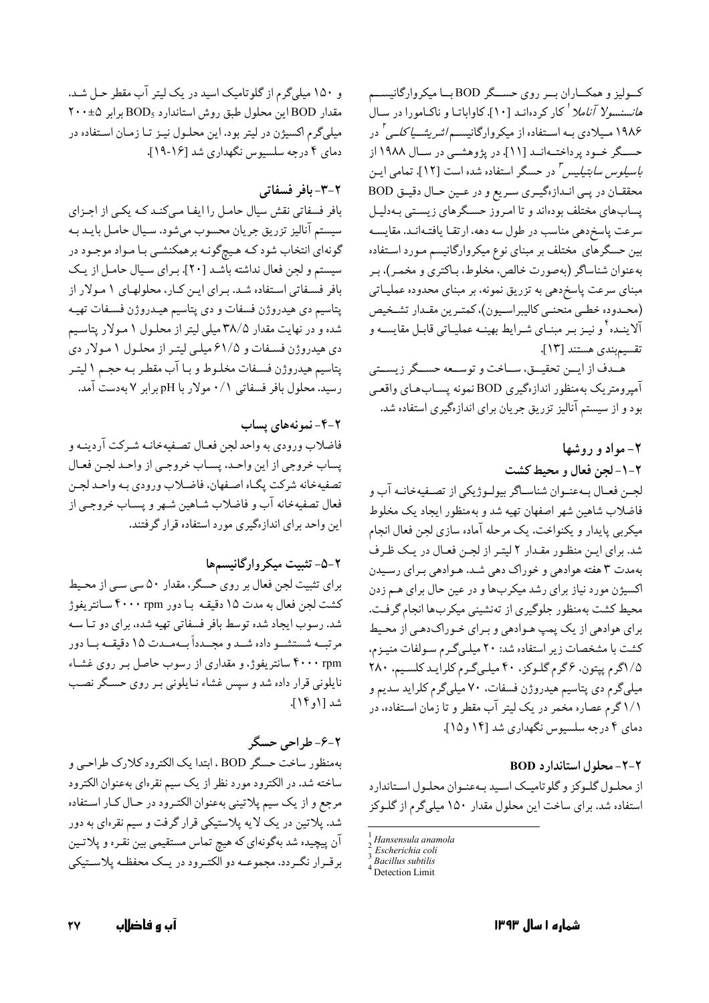کولیز و همکـاران بــر روی حســگر BOD بــا میکروارگانیســم ه*انسنسولا آناملا <sup>ا</sup> ک*ار کردهانـد [۱۰]. کاواباتـا و ناکـامورا در سـال ۱۹۸۶ مـیلادی بـه اســتفاده از میکروارگانیســم/*شریشــیا کلــی <sup>۲</sup>* در حسـگر خـود پرداختـهانـد [۱۱]. در پژوهشــی در سـال ۱۹۸۸ از *باسیلوس سابتیلیس "* در حسگر استفاده شده است [۱۲]. تمامی ایـن محققان در پمی اندازهگیری سریع و در عین حال دقیق BOD پسابهای مختلف بودهاند و تا امروز حسگرهای زیستی بـهدلیـل سرعت پاسخدهی مناسب در طول سه دهه، ارتقـا یافتـهانـد. مقايسـه بین حسگرهای مختلف بر مبنای نوع میکروارگانیسم مـورد اسـتفاده بهءنوان شناساگر (بهصورت خالص، مخلوط، بـاكترى و مخمـر)، بـر مبنای سرعت پاسخ دهی به تزریق نمونه، بر مبنای محدوده عملیـاتی (محـدوده خطـي منحنـي كاليبراسـيون)، كمتـرين مقـدار تشـخيص آلاینـده ٔ و نیـز بـر مبنـاي شـرايط بهينـه عمليـاتي قابـل مقايسـه و تقسيم بندى هستند [١٣].

هـدف از ايــن تحقيــق، ســاخت و توســعه حســگر زيســتي آمپرومتریک بهمنظور اندازهگیری BOD نمونه پسـابهـای واقعـی بود و از سیستم آنالیز تزریق جریان برای اندازهگیری استفاده شد.

### ۲- مواد و روشها

٢-١- لجن فعال و محيط كشت

لجـن فعـال بـهعنـوان شناسـاگر بيولـوژيكي از تصـفيهخانـه آب و فاضلاب شاهين شهر اصفهان تهيه شد و بهمنظور ايجاد يک مخلوط میکربی پایدار و یکنواخت. یک مرحله آماده سازی لجن فعال انجام شد. برای این منظور مقدار ۲ لیتر از لجن فعال در یک ظرف بهمدت ۳ هفته هوادهي و خوراک دهي شـد. هـوادهي بـراي رسـيدن اکسیژن مورد نیاز برای رشد میکربها و در عین حال برای هم زدن محیط کشت بهمنظور جلوگیری از تهنشینی میکربها انجام گرفت. براي هوادهي از يک پمپ هـوادهي و بـراي خـوراکدهـي از محـيط کشت با مشخصات زیر استفاده شد: ۲۰ میلههگرم سولفات منیـزم، ۱/۵گرم پیتون، ۶گرم گلوکز، ۴۰ میلیگرم کلراید کلسیم، ۲۸۰ میلیگرم دی پتاسیم هیدروژن فسفات. ۷۰ میلیگرم کلراید سدیم و ۱/۱گرم عصاره مخمر در یک لیتر آب مقطر و تا زمان اسـتفاده، در دمای ۴ درجه سلسیوس نگهداری شد [۱۴ و ۱۵].

### ٢-٢- محلول استاندارد BOD

از محلـول گلـوکز و گلوتاميـک اسـيد بـهعنـوان محلـول اسـتاندارد استفاده شد. برای ساخت این محلول مقدار ۱۵۰ میلیگرم از گلـوکز

Detection Limit

و ۱۵۰ میلیگرم از گلوتامیک اسید در یک لیتر آب مقطر حـل شـد. مقدار BOD این محلول طبق روش استاندارد BOD<sub>5</sub> برابر ۲۰۰±۴۰ میلیگرم اکسیژن در لیتر بود. این محلـول نیـز تـا زمـان اسـتفاده در دمای ۴ درجه سلسیوس نگهداری شد [۱۶-۱۹].

### ٢-٣- بافر فسفاتي

بافر فسفاتی نقش سیال حامل را ایفـا مـیکنـد کـه یکـی از اجـزای سیستم آنالیز تزریق جریان محسوب میشود. سـیال حامـل بایـد بـه گونهای انتخاب شود کـه هـیچگونـه برهمکنشـی بـا مـواد موجـود در سیستم و لجن فعال نداشته باشد [٢٠]. برای سیال حامل از یک بافر فسفاتی استفاده شد. برای این کار، محلولهای ۱ مولار از پتاسیم دی هیدروژن فسفات و دی پتاسیم هیـدروژن فسـفات تهیـه شده و در نهایت مقدار ۳۸/۵ میلی لیتر از محلـول ۱ مـولار پتاسـیم دی هیدروژن فسـفات و ۶۱/۵میلـی لیتـر از محلـول ۱ مـولار دی پتاسيم هيدروژن فسـفات مخلـوط و بـا آب مقطـر بـه حجـم ١ ليتـر رسید. محلول بافر فسفاتی ۰/۱ مولار با pH برابر ۷ بهدست آمد.

### ۲-۴-نمونههای پساب

فاضلاب ورودي به واحد لجن فعـال تصـفيهخانـه شـركت آردينـه و پساب خروجي از اين واحد، پسـاب خروجـي از واحـد لجـن فعـال تصفيهخانه شركت پگـاه اصـفهان، فاضـلاب ورودي بـه واحـد لجـن فعال تصفيهخانه آب و فاضلاب شـاهين شـهر و پسـاب خروجـي از این واحد برای اندازهگیری مورد استفاده قرار گرفتند.

### ۲-۵- تثبیت میکروارگانیسمها

برای تثبیت لجن فعال بر روی حسگر، مقدار ۵۰ سی سبی از محیط کشت لجن فعال به مدت ۱۵ دقیقـه بـا دور ۴۰۰۰ rpm سـانتریفوژ شد. رسوب ایجاد شده توسط بافر فسفاتی تهیه شده، برای دو تـا سـه مرتبــه شستشــو داده شــد و مجــدداً بــهمــدت ١۵ دقیقــه بــا دور ۴۰۰۰ rpm سانتریفوژ، و مقداری از رسوب حاصل بـر روی غشـاء نایلونی قرار داده شد و سپس غشاء نـایلونی بـر روی حسـگر نصـب شد [۱٫ ۱۴].

## ٢-۶-طراحي حسگر

بهمنظور ساخت حسگر BOD ، ابتدا یک الکترود کلارک طراحی و ساخته شد. در الکترود مورد نظر از یک سیم نقرهای بهعنوان الکترود مرجع و از یک سیم پلاتینی بهعنوان الکترود در حـال کـار اسـتفاده شد. پلاتین در یک لایه پلاستیکی قرار گرفت و سیم نقرهای به دور آن پیچیده شد بهگونهای که هیچ تماس مستقیمی بین نقـره و پلاتـین برقـرار نگـردد. مجموعــه دو الکتـرود در يــک محفظــه پلاســتيکي

Hansensula anamola

Escherichia coli Because Subtilis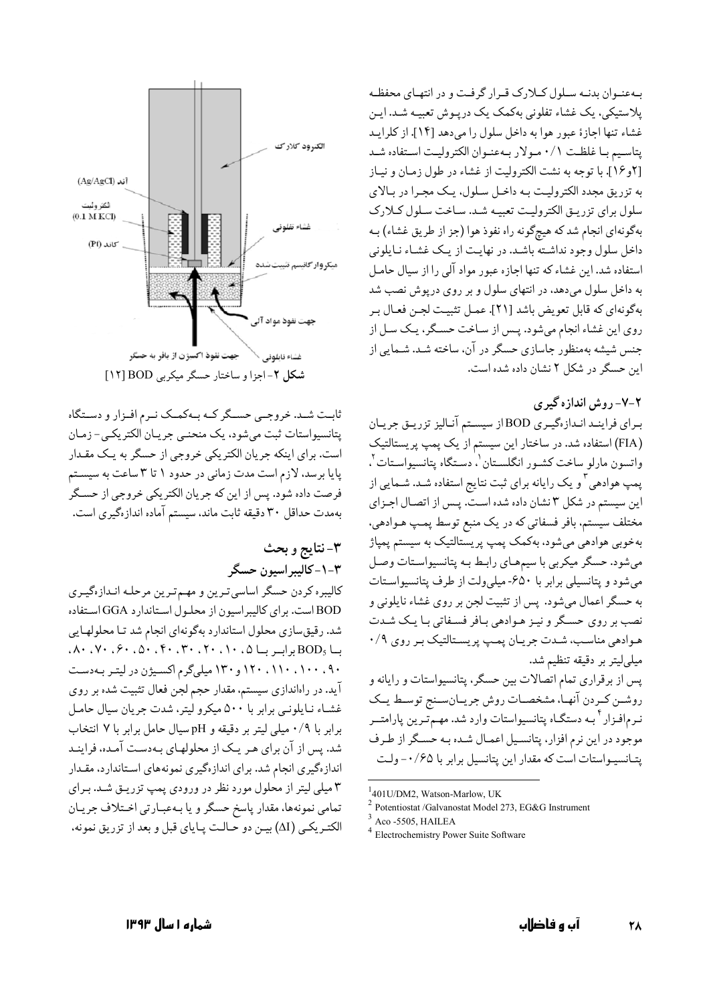بهعنوان بدنـه سـلول كـلارك قـرار گرفـت و در انتهـاى محفظـه يلاستيكي، يک غشاء تفلوني بهكمک يک دريـوش تعبيـه شـد. ايـن غشاء تنها اجازة عبور هوا به داخل سلول را مىدهد [١۴]. از كلرايـد يتاسيم بـا غلظـت ٠/١ مـولار بـهعنـوان الكتروليـت اسـتفاده شـد [٢و١۶]. با توجه به نشت الكتروليت از غشاء در طول زمـان و نيـاز به تزریق مجدد الکترولیت بـه داخـل سـلول، یـک مجـرا در بـالای سلول براي تزريىق الكتروليت تعبيه شد. ساخت سلول كلارك بهگونهای انجام شد که هیچگونه راه نفوذ هوا (جز از طریق غشاء) بـه داخل سلول وجود نداشته باشد. در نهایت از یک غشاء نـایلونی استفاده شد. این غشاء که تنها اجازه عبور مواد آلی را از سیال حامـل به داخل سلول میدهد، در انتهای سلول و بر روی درپوش نصب شد بهگونهای که قابل تعویض باشد [۲۱]. عمـل تثبیـت لجـن فعـال بـر روی این غشاء انجام میشود. پـس از سـاخت حسـگر، یـک سـل از جنس شیشه بهمنظور جاسازی حسگر در آن، ساخته شـد. شـمایی از این حسگر در شکل ۲ نشان داده شده است.

۲-۷- روش اندازه گیری

براي فراينـد انـدازهگيـري BOD از سيسـتم آنـاليز تزريـق جريـان (FIA) استفاده شد. در ساختار این سیستم از یک یمپ پریستالتیک واتسون مارلو ساخت کشـور انگلسـتان <sup>۱</sup>، دسـتگاه پتانسیواسـتات <sup>۲</sup>، پمپ هوادهی ۳ و یک رایانه برای ثبت نتایج استفاده شـد. شـمایی از این سیستم در شکل ۳ نشان داده شده است. پـس از اتصال اجـزای مختلف سیستم، بافر فسفاتی که در یک منبع توسط پمپ هـوادهی، بهخوبی هوادهی میشود، بهکمک پمپ پریستالتیک به سیستم پمپاژ میشود. حسگر میکربی با سیمهـای رابـط بـه پتانسیواسـتات وصـل میشود و پتانسیلی برابر با ۶۵۰-میلی ولت از طرف پتانسیواستات به حسگر اعمال میشود. پس از تثبیت لجن بر روی غشاء نایلونی و نصب بر روی حسـگر و نیـز هـوادهی بـافر فسـفاتی بـا یـک شـدت هوادهی مناسب، شدت جریان پمپ پریستالتیک بر روی ۰/۹ میلیلیتر بر دقیقه تنظیم شد. پس از برقراری تمام اتصالات بین حسگر، پتانسیواستات و رایانه و روشــن كــردن آنهـاً، مشخصــات روش جريــانســنج توسـط يــك نـرمافـزار<sup>۴</sup> بـه دستگـاه پتانسیواستات وارد شد. مهـمتـرین پارامتــر موجود در این نرم افزار، پتانسیل اعمـال شـده بـه حسـگر از طـرف یتـانسیـواستات است که مقدار این پتانسیل برابر با ۰/۶۵- ولـت

<sup>1</sup>401U/DM2, Watson-Marlow, UK

<sup>4</sup> Electrochemistry Power Suite Software



شكل ٢-اجزا و ساختار حسكر ميكربي BOD [١٢]

ثابت شـد. خروجـي حسـگر كـه بـهكمـك نـرم افـزار و دسـتگاه پتانسیواستات ثبت میشود، یک منحنبی جریان الکتریکی-زمان است. برای اینکه جریان الکتریکی خروجی از حسگر به یک مقـدار يايا برسد، لازم است مدت زماني در حدود ١ تا ٣ ساعت به سيستم فرصت داده شود. پس از این که جریان الکتریکی خروجی از حسگر بهمدت حداقل ٣٠ دقيقه ثابت ماند، سيستم آماده اندازهگيري است.

# ۳-نتايج و بحث ۰۳-۱-کالیبر اسیون حسگر

كاليبره كردن حسگر اساسي ترين و مهم ترين مرحلـه انـدازهگيـري BOD است. برای کالیبراسیون از محلول استاندارد GGA استفاده شد. رقیق سازی محلول استاندارد بهگونهای انجام شد تـا محلولهـایی ۰۹۰، ۱۱۰، ۱۲۰، ۱۲۰ و ۱۳۰ میلیگرم اکسیژن در لیتر به دست آید. در راهاندازی سیستم، مقدار حجم لجن فعال تثبیت شده بر روی غشاء نـايلونـي برابر با ۵۰۰ ميكرو ليتر، شدت جريان سيال حامـل برابر با ۰/۹ میلی لیتر بر دقیقه و pH سیال حامل برابر با ۷ انتخاب شد. پس از آن برای هـر یـک از محلولهـای بـهدسـت آمـده، فراینـد اندازهگیری انجام شد. برای اندازهگیری نمونههای استاندارد، مقـدار ۳ میلی لیتر از محلول مورد نظر در ورودی یمپ تزریـق شـد. بـرای تمامي نمونهها، مقدار پاسخ حسگر و يا بـهعبـارتي اخـتلاف جريـان الكتـريكـي (ΔI) بيـن دو حـالـت يـاياي قبل و بعد از تزريق نمونه،

Potentiostat /Galvanostat Model 273, EG&G Instrument

 $3$  Aco -5505, HAILEA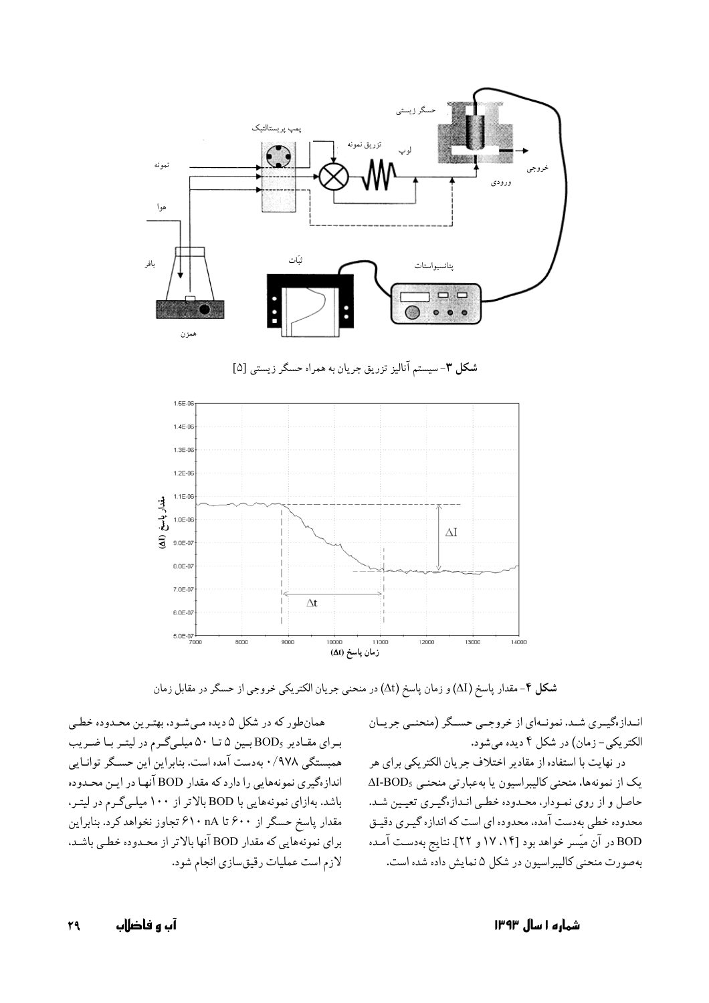

شکل ۳-سیستم آنالیز تزریق جریان به همراه حسگر زیستی [۵]



شکل ۴- مقدار پاسخ (ΔI) و زمان پاسخ (Δt) در منحنی جریان الکتریکی خروجی از حسگر در مقابل زمان

همانطور که در شکل ۵ دیده مـیشـود، بهتـرین محـدوده خطـی برای مقادیر BODs بین ۵ تا ۵۰ میلیگرم در لیتر با ضریب همبستگی ۰/۹۷۸ بهدست آمده است. بنابراین این حسـگر توانـایی اندازهگیری نمونههایی را دارد که مقدار BOD آنها در ایـن محـدوده باشد. بهازای نمونههایی با BOD بالاتر از ۱۰۰ میلیگرم در لیتـر، مقدار پاسخ حسگر از ۶۰۰ تا ۶۱۰ تا ۶۱۰ تجاوز نخواهد کرد. بنابراین برای نمونههایی که مقدار BOD آنها بالاتر از محـدوده خطـی باشـد. لازم است عملیات رقیق سازی انجام شود.

انـدازهگیـری شـد. نمونـهای از خروجـبی حسـگر (منحنـبی جریــان الکتريکي- زمان) در شکل ۴ ديده ميشود.

در نهایت با استفاده از مقادیر اختلاف جریان الکتریکی برای هر یک از نمونهها، منحنی کالیبراسیون یا به عبارتی منحنـی AI-BOD<sub>5</sub> حاصل و از روی نمـودار، محـدوده خطـی انـدازهگیـری تعیـین شـد. محدوده خطی بهدست آمده، محدوده ای است که اندازه گیـری دقیـق BOD در آن میّسر خواهد بود [۱۴، ۱۷ و ۲۲]. نتایج بهدست آمـده بهصورت منحني كاليبراسيون در شكل ۵ نمايش داده شده است.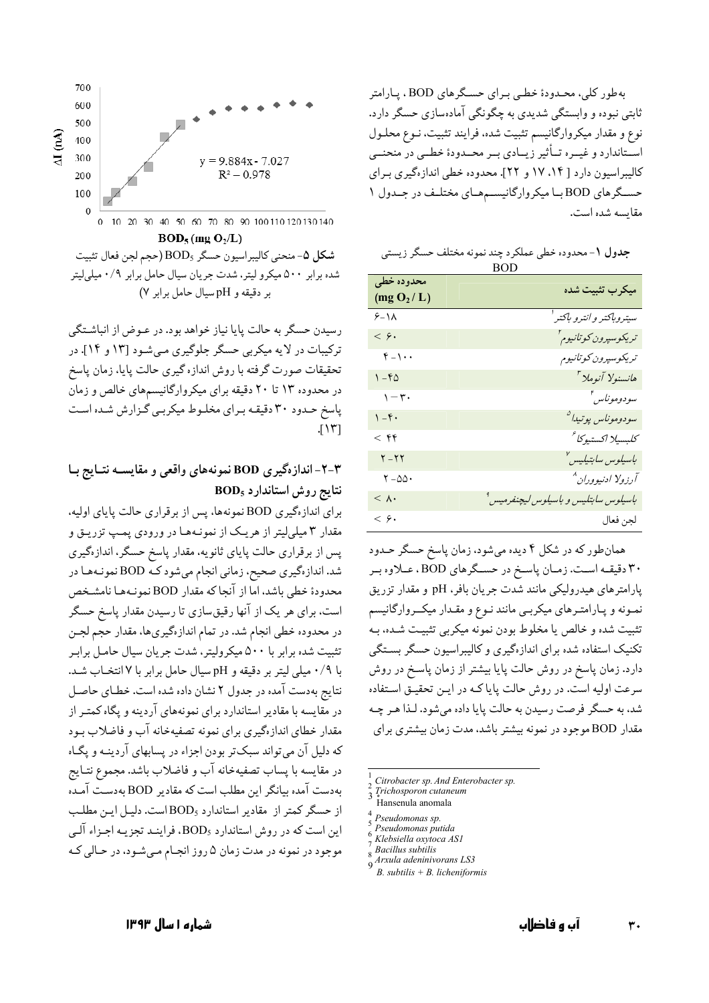بهطور کلی، محـدودهٔ خطـی بـرای حسـگرهای BOD، پـارامتر ثابتی نبوده و وابستگی شدیدی به چگونگی آمادهسازی حسگر دارد. نوع و مقدار میکروارگانیسم تثبیت شده، فرایند تثبیت، نـوع محلـول اسـتاندارد و غيــره تــأثير زيــادي بــر محــدودۀ خطــي در منحنــي كاليبراسيون دارد [ ١٤، ١٧ و ٢٢]. محدوده خطى اندازهگيري براي حسـگرهای BODبا میکروارگانیسـمهـای مختلـف در جـدول ۱ مقايسه شده است.

| جدول ١- محدوده خطي عملكرد چند نمونه مختلف حسگر زيستي |  |
|------------------------------------------------------|--|
| <b>BOD</b>                                           |  |

| محدوده خطي<br>(mg O <sub>2</sub> /L) | ميكرب تثبيت شده                                  |
|--------------------------------------|--------------------------------------------------|
| $9 - 11$                             | سيتدوباكتر وانترو باكتر <sup>ا</sup>             |
| $\langle \rangle$                    | تريكوسپرون كوتانيوم <sup>۲</sup>                 |
| $f - 1 \cdot \cdot$                  | تريكوسپرون كوتانيوم                              |
| $1 - f\Delta$                        | هانسنولا آنوملا <sup>"</sup>                     |
| $\eta - \tau$                        | سودوموناس <sup>ء</sup>                           |
| $1 - f$ .                            | سودوموناس پوتيدا <sup>0</sup>                    |
| $<$ $55$                             | كلبسلا اكستيوكا                                  |
| $Y - YY$                             | باسىلوس سابتىلىس <sup>ى</sup>                    |
| $Y - \Delta \Delta \cdot$            | آرزولا ادنيووران^                                |
| $< \Lambda$ .                        | باسيلوس سابتليس و باسيلوس ليچنفرميس <sup>۹</sup> |
| $\overline{\xi}$ .                   | لجن فعال                                         |

همانطور که در شکل ۴ دیده میشود، زمان پاسخ حسگر حـدود ۳۰ دقیقـه اسـت. زمـان پاسـخ در حسـگرهای BOD، عـلاوه بـر پارامترهای هیدرولیکی مانند شدت جریان بافر، pH و مقدار تزریق نمـونه و پـارامتـرهاي ميكربـي مانند نـوع و مقـدار ميكــروارگانيسم تثبیت شده و خالص یا مخلوط بودن نمونه میکربی تثبیت شـده، بـه تکنیک استفاده شده برای اندازهگیری و کالیبراسیون حسگر بستگی دارد. زمان پاسخ در روش حالت پایا بیشتر از زمان پاسخ در روش سرعت اولیه است. در روش حالت پایا کـه در ایـن تحقیـق اسـتفاده شد، به حسگر فرصت رسیدن به حالت پایا داده میشود. لـذا هـر چـه مقدار BOD موجود در نمونه بیشتر باشد، مدت زمان بیشتری برای

- Citrobacter sp. And Enterobacter sp.
- Trichosporon cutaneum
- Hansenula anomala
- Pseudomonas sp.
- Pseudomonas putida Klebsiella oxytoca ASI
- **Bacillus** subtilis
- Arxula adeninivorans LS3
- $B.$  subtilis +  $B.$  licheniformis



 $BOD_5$  (mg O<sub>2</sub>/L)

شكل ۵- منحنى كاليبراسيون حسگر BOD<sub>5</sub> (حجم لجن فعال تثبيت شده برابر ۵۰۰ میکرو لیتر، شدت جریان سیال حامل برابر ۰/۹ میلیلیتر بر دقیقه و pHسیال حامل برابر ۷)

رسیدن حسگر به حالت پایا نیاز خواهد بود. در عـوض از انباشـتگی ترکیبات در لایه میکربی حسگر جلوگیری می شـود [۱۳ و ۱۴]. در تحقیقات صورت گرفته با روش اندازه گیری حالت پایا، زمان پاسخ در محدوده ۱۳ تا ۲۰ دقیقه برای میکروارگانیسمهای خالص و زمان یاسخ حـدود ۳۰ دقیقـه بـرای مخلـوط میکربـی گـزارش شـده اسـت  $JY$ 

### ۳-۲- اندازهگیری BOD نمونههای واقعی و مقایسـه نتـایج بـا نتايج روش استاندارد BOD<sub>5</sub>

برای اندازهگیری BOD نمونهها، پس از برقراری حالت پایای اولیه، مقدار ۳ میلیلیتر از هریک از نمونـههـا در ورودی پمـپ تزریـق و پس از برقراری حالت پایای ثانویه، مقدار پاسخ حسگر، اندازهگیری شد. اندازهگیری صحیح، زمانی انجام میشود کـه BOD نمونـههـا در محدودة خطى باشد، اما از آنجاكه مقدار BOD نمونـههـا نامشـخص است. برای هر یک از آنها رقیقسازی تا رسیدن مقدار پاسخ حسگر در محدوده خطی انجام شد. در تمام اندازهگیریها، مقدار حجم لجـن تثبیت شده برابر با ۵۰۰ میکرولیتر، شدت جریان سیال حامـل برابـر با ۰/۹ میلی لیتر بر دقیقه و pH سیال حامل برابر با ۷ انتخـاب شـد. نتايج بهدست آمده در جدول ٢ نشان داده شده است. خطاي حاصل در مقایسه با مقادیر استاندارد برای نمونههای آردینه و یگاه کمتـر از مقدار خطای اندازهگیری برای نمونه تصفیهخانه آب و فاضلاب بـود که دلیل آن می تواند سبک تر بودن اجزاء در پسابهای آردینـه و یگـاه در مقايسه با پساب تصفيهخانه آب و فاضلاب باشد. مجموع نتـايج بهدست آمده بیانگر این مطلب است که مقادیر BOD بهدست آمـده از حسگر کمتر از مقادیر استاندارد BOD<sub>5</sub>است. دلیـل ایـن مطلـب این است که در روش استاندارد BOD<sub>5</sub>، فراینـد تجزیـه اجـزاء آلـی موجود در نمونه در مدت زمان ۵ روز انجـام مـيشـود، در حـالي كـه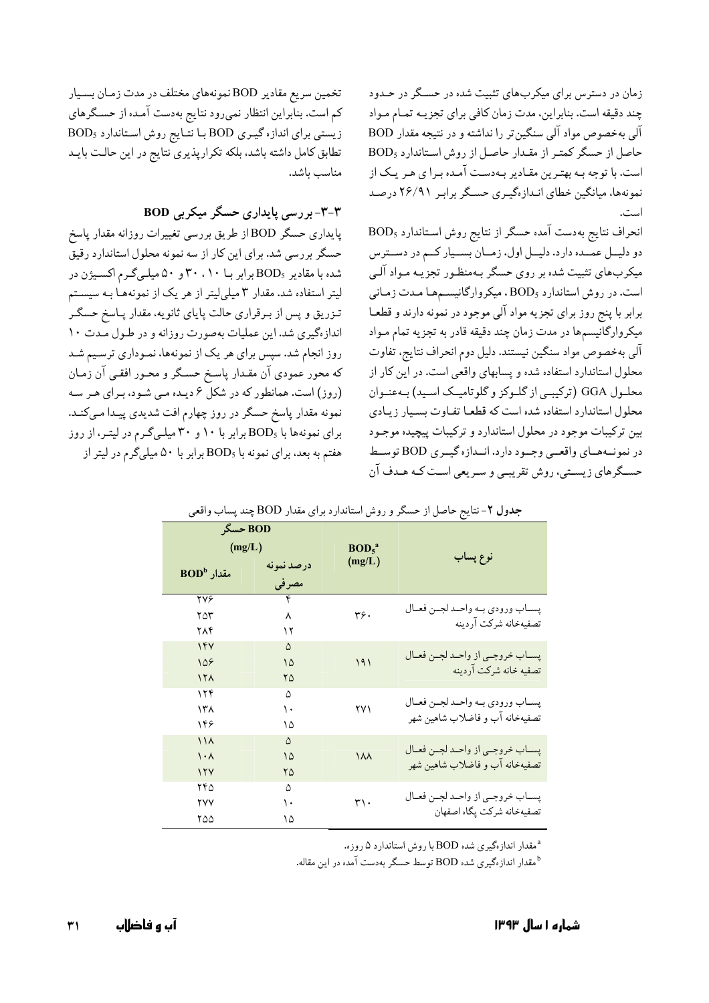زمان در دسترس برای میکربهای تثبیت شده در حسگر در حـدود چند دقیقه است. بنابراین، مدت زمان کافی برای تجزیـه تمـام مـواد آلبی به خصوص مواد آلبی سنگین تر را نداشته و در نتیجه مقدار BOD حاصل از حسگر کمتر از مقدار حاصل از روش استاندارد BOD5 است. با توجه بـه بهتـرين مقـادير بـهدسـت آمـده بـرا ي هـر يـك از نمونهها، میانگین خطای انـدازهگیـری حسـگر برابـر ۲۶/۹۱ درصـد

 $BOD_5$  انحراف نتايج بهدست آمده حسگر از نتايج روش استاندارد دو دليـل عمـده دارد. دليـل اول، زمـان بسـيار كـم در دسـترس میکربهای تثبیت شده بر روی حسگر بـهمنظـور تجزیـه مـواد آلـی است. در روش استاندارد BOD, ، میکروارگانیسمها مدت زمانی برابر با پنج روز برای تجزیه مواد آلی موجود در نمونه دارند و قطعـا میکروارگانیسمها در مدت زمان چند دقیقه قادر به تجزیه تمام مـواد آلي بهخصوص مواد سنگين نيستند. دليل دوم انحراف نتايج، تفاوت محلول استاندارد استفاده شده و پسابهای واقعی است. در این کار از محلـول GGA (ترکیبـی از گلـوکز و گلوتامیـک اسـید) بـهعنـوان محلول استاندارد استفاده شده است که قطعـا تفـاوت بسـيار زيـادي بین ترکیبات موجود در محلول استاندارد و ترکیبات پیچیده موجـود در نمونههاي واقعي وجمود دارد. انمدازه گيمري BOD توسط حسـگرهاي زيسـتي، روش تقريبـي و سـريعي اسـت كـه هـدف آن

تخمین سریع مقادیر BOD نمونههای مختلف در مدت زمـان بسـیار کم است. بنابراین انتظار نمیرود نتایج بهدست آمـده از حسـگرهای زیستی برای اندازه گیری BOD با نتایج روش استاندارد BOD<sub>5</sub> تطابق كامل داشته باشد، بلكه تكرارپذيري نتايج در اين حالت بايـد مناسب باشد.

### ۳-۳- بررسی پایداری حسگر میکربی BOD

پایداری حسگر BOD از طریق بررسی تغییرات روزانه مقدار پاسخ حسگر بررسی شد. برای این کار از سه نمونه محلول استاندارد رقیق شده با مقادیر BOD<sub>5</sub> برابر بـا ۳۰،۱۰ و ۵۰ میلهگرم اکسیژن در لیتر استفاده شد. مقدار ۳ میلیلیتر از هر یک از نمونههـا بـه سیسـتم تـزريق و پس از بـرقراري حالت پاياي ثانويه، مقدار پـاسخ حسگـر اندازهگیری شد. این عملیات بهصورت روزانه و در طول مدت ١٠ روز انجام شد. سپس برای هر یک از نمونهها، نمـوداری ترسـیم شـد که محور عمودي آن مقـدار پاسـخ حسـگر و محـور افقـي آن زمـان (روز) است. همانطور که در شکل ۶ دیـده مـی شـود، بـرای هـر سـه نمونه مقدار پاسخ حسگر در روز چهارم افت شدیدی پیـدا مـیکنـد. برای نمونهها با BOD5 برابر با ۱۰ و ۳۰ میلهگرم در لیتر، از روز هفتم به بعد، برای نمونه با BOD<sub>5</sub> برابر با ۵۰ میلیگرم در لیتر از

|                    | جدوں ۱ – تنایج حاصل از حسکر و روس استاندارد برای مقدار DOD چند پساب واقعی |                                         |          |                                                                 |  |  |
|--------------------|---------------------------------------------------------------------------|-----------------------------------------|----------|-----------------------------------------------------------------|--|--|
| BOD حسگر<br>(mg/L) |                                                                           |                                         |          |                                                                 |  |  |
|                    |                                                                           | BOD <sub>5</sub> <sup>a</sup><br>(mg/L) | نوع پساب |                                                                 |  |  |
|                    | BOD <sup>b</sup> مقدار                                                    | درصد نمونه                              |          |                                                                 |  |  |
|                    |                                                                           | مصرفى                                   |          |                                                                 |  |  |
|                    | <b>٢</b> ٧۶                                                               | ۴                                       | ٣۶.      | پســاب ورودي بــه واحــد لجــن فعــال                           |  |  |
|                    | ۲۵۳                                                                       | ٨                                       |          | تصفيهخانه شركت آردينه                                           |  |  |
|                    | ۲۸۴                                                                       | ۱۲                                      |          |                                                                 |  |  |
|                    | 147                                                                       | $\Delta$                                |          |                                                                 |  |  |
|                    | 108                                                                       | ۱۵                                      | 191      | پســاب خروجــي از واحــد لجــن فعــال<br>تصفيه خانه شركت آردينه |  |  |
|                    | 15 <sub>A</sub>                                                           | ۲۵                                      |          |                                                                 |  |  |
|                    | ۱۲۴                                                                       | ۵                                       | ۲۷۱      |                                                                 |  |  |
|                    | ۱۳۸                                                                       | ١.                                      |          | پسـاب ورودي بـه واحـد لجـن فعـال                                |  |  |
|                    | ۱۴۶                                                                       | ۱۵                                      |          | تصفيهخانه آب و فاضلاب شاهين شهر                                 |  |  |
|                    | 11 <sub>A</sub>                                                           | ۵                                       |          |                                                                 |  |  |
|                    | $\cdot \wedge$                                                            | ۱۵                                      | 188      | پسـاب خروجـي از واحـد لجـن فعـال                                |  |  |
|                    | 11Y                                                                       | ۲۵                                      |          | تصفيهخانه آب و فاضلاب شاهين شهر                                 |  |  |
|                    | ۲۴۵                                                                       | ۵                                       |          |                                                                 |  |  |
|                    | ۲۷۷                                                                       | ١.                                      | ٣١٠      | پســاب خروجــي از واحــد لجــن فعــال                           |  |  |
|                    | ۲۵۵                                                                       | ۱۵                                      |          | تصفيهخانه شركت يگاه اصفهان                                      |  |  |

 $\epsilon$   $(11 \pm 1)$ دشهار تازدار در ای مقدار ROD جزیر بر این ماقد

<sup>ه</sup> مقدار اندازهگیری شده BOD با روش استاندارد ۵ روزه.

ه مقدار اندازهگیری شده BOD توسط حسگر بهدست آمده در این مقاله.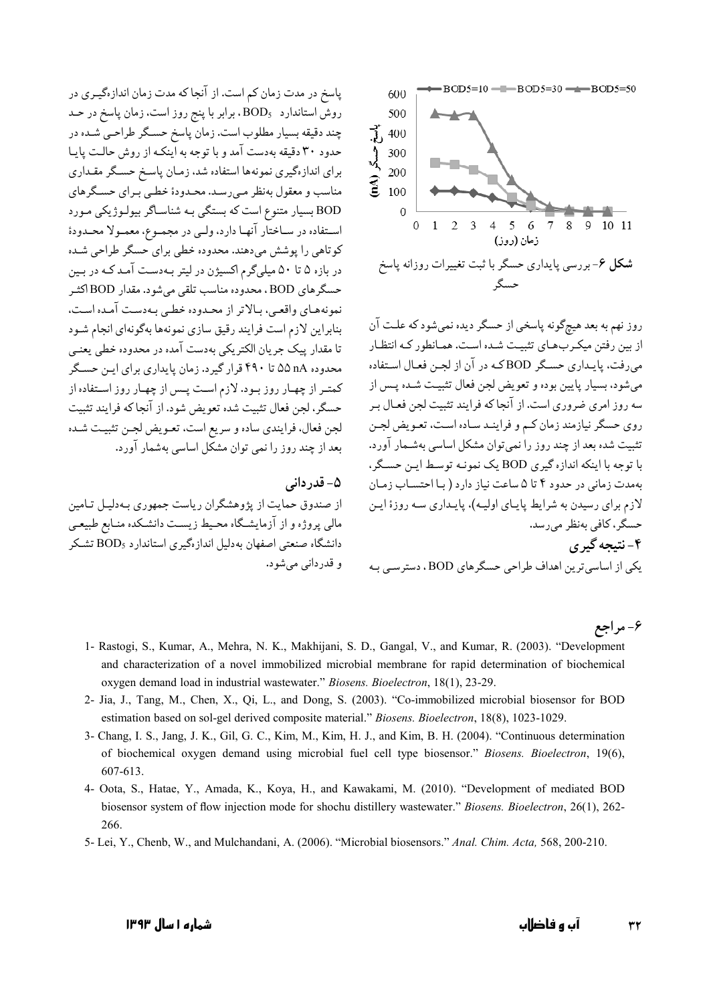پاسخ در مدت زمان کم است. از آنجا که مدت زمان اندازهگیـری در روش استاندارد BOD<sub>s</sub> ، برابر با پنج روز است. زمان پاسخ در حـد چند دقیقه بسیار مطلوب است. زمان پاسخ حسـگر طراحـي شـده در حدود ۳۰ دقیقه بهدست آمد و با توجه به اینکـه از روش حالـت پایـا برای اندازهگیری نمونهها استفاده شد، زمـان پاسـخ حسـگر مقـداری مناسب و معقول بهنظر مـي رسـد. محـدودۀ خطـي بـراي حسـگرهاي BOD بسيار متنوع است كه بستگي بـه شناسـاگر بيولـوژيكي مـورد استفاده در سـاختار آنهـا دارد، ولـي در مجمـوع، معمـولا محـدودة کو تاهی را یوشش می دهند. محدوده خطی برای حسگر طراحی شده در بازه ۵ تا ۵۰ میلی گرم اکسیژن در لیتر بـهدسـت آمـد کـه در بـین حسگرهاي BOD ، محدوده مناسب تلقي مي شود. مقدار BOD اكثـر نمونههبای واقعبی، بیالاتر از محیدوده خطبی بیهدست آمیده است، بنابراین لازم است فرایند رقیق سازی نمونهها بهگونهای انجام شـود تا مقدار پیک جریان الکتریکی بهدست آمده در محدوده خطی یعنـی محدوده nA ۵۵ تا ۴۹۰ قرار گیرد. زمان پایداری برای این حسگر کمتـر از چهـار روز بـود. لازم اسـت پـس از چهـار روز اسـتفاده از حسگر، لجن فعال تثبيت شده تعويض شود. از آنجا كه فرايند تثبيت لجن فعال، فرایندی ساده و سریع است، تعـویض لجـن تثبیـت شـده بعد از چند روز را نمی توان مشکل اساسی بهشمار آورد.

#### ۵– قدردانی

از صندوق حمایت از یژوهشگران ریاست جمهوری بـهدلیـل تـامین مالی پروژه و از آزمایشگاه محیط زیست دانشکده منـابع طبیعـی دانشگاه صنعتی اصفهان بهدلیل اندازهگیری استاندارد BOD<sub>۶</sub> تشکر و قدرداني مي شود.



روز نهم به بعد هیچگونه پاسخی از حسگر دیده نمیشود که علت آن از بین رفتن میک رب های تثبیت شده است. همـانطور کـه انتظـار می رفت، پایـداری حسـگر BODکـه در آن از لجـن فعـال اسـتفاده مي شود، بسيار پايين بوده و تعويض لجن فعال تثبيت شـده پـس از سه روز امری ضروری است. از آنجا که فرایند تثبیت لجن فعـال بـر روی حسگر نیازمند زمان کـم و فراینـد سـاده اسـت، تعـویض لجـن تثبیت شده بعد از چند روز را نمی توان مشکل اساسی بهشـمار آورد. با توجه با اینکه اندازه گیری BOD یک نمونـه توسـط ایـن حسـگر، بهمدت زمانی در حدود ۴ تا ۵ ساعت نیاز دارد ( با احتساب زمان لازم برای رسیدن به شرایط پایای اولیه)، پایداری سه روزهٔ این حسگر، كافي بەنظر مى رسد. ۴-نتىجە گىرى یکی از اساسی ترین اهداف طراحی حسگرهای BOD، دسترسبی بـه

#### ۶- مراجع

- 1- Rastogi, S., Kumar, A., Mehra, N. K., Makhijani, S. D., Gangal, V., and Kumar, R. (2003). "Development and characterization of a novel immobilized microbial membrane for rapid determination of biochemical oxygen demand load in industrial wastewater." Biosens. Bioelectron, 18(1), 23-29.
- 2- Jia, J., Tang, M., Chen, X., Qi, L., and Dong, S. (2003). "Co-immobilized microbial biosensor for BOD estimation based on sol-gel derived composite material." Biosens. Bioelectron, 18(8), 1023-1029.
- 3- Chang, I. S., Jang, J. K., Gil, G. C., Kim, M., Kim, H. J., and Kim, B. H. (2004). "Continuous determination of biochemical oxygen demand using microbial fuel cell type biosensor." Biosens. Bioelectron, 19(6), 607-613.
- 4- Oota, S., Hatae, Y., Amada, K., Koya, H., and Kawakami, M. (2010). "Development of mediated BOD biosensor system of flow injection mode for shochu distillery wastewater." Biosens. Bioelectron, 26(1), 262-266.
- 5- Lei, Y., Chenb, W., and Mulchandani, A. (2006). "Microbial biosensors." Anal. Chim. Acta, 568, 200-210.